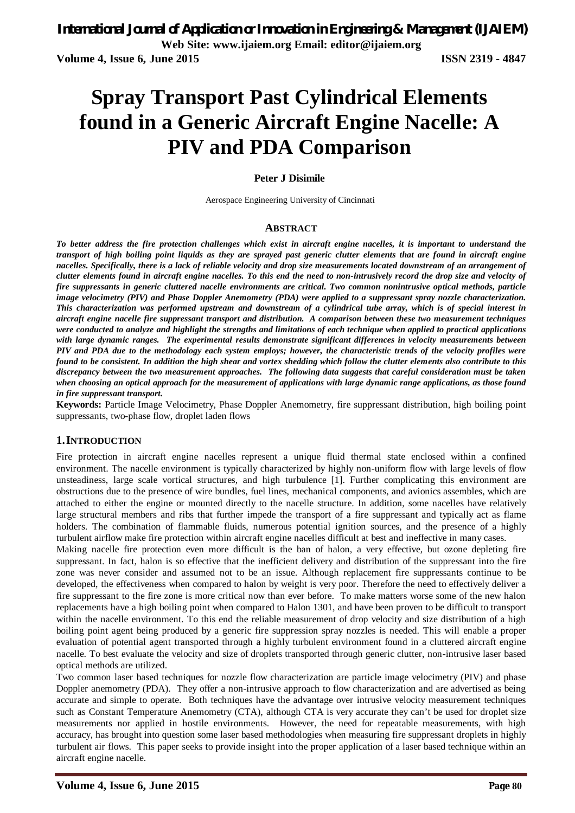# **Spray Transport Past Cylindrical Elements found in a Generic Aircraft Engine Nacelle: A PIV and PDA Comparison**

## **Peter J Disimile**

Aerospace Engineering University of Cincinnati

### **ABSTRACT**

*To better address the fire protection challenges which exist in aircraft engine nacelles, it is important to understand the transport of high boiling point liquids as they are sprayed past generic clutter elements that are found in aircraft engine nacelles. Specifically, there is a lack of reliable velocity and drop size measurements located downstream of an arrangement of clutter elements found in aircraft engine nacelles. To this end the need to non-intrusively record the drop size and velocity of fire suppressants in generic cluttered nacelle environments are critical. Two common nonintrusive optical methods, particle image velocimetry (PIV) and Phase Doppler Anemometry (PDA) were applied to a suppressant spray nozzle characterization. This characterization was performed upstream and downstream of a cylindrical tube array, which is of special interest in aircraft engine nacelle fire suppressant transport and distribution. A comparison between these two measurement techniques were conducted to analyze and highlight the strengths and limitations of each technique when applied to practical applications with large dynamic ranges. The experimental results demonstrate significant differences in velocity measurements between PIV and PDA due to the methodology each system employs; however, the characteristic trends of the velocity profiles were found to be consistent. In addition the high shear and vortex shedding which follow the clutter elements also contribute to this discrepancy between the two measurement approaches. The following data suggests that careful consideration must be taken when choosing an optical approach for the measurement of applications with large dynamic range applications, as those found in fire suppressant transport.*

**Keywords:** Particle Image Velocimetry, Phase Doppler Anemometry, fire suppressant distribution, high boiling point suppressants, two-phase flow, droplet laden flows

### **1.INTRODUCTION**

Fire protection in aircraft engine nacelles represent a unique fluid thermal state enclosed within a confined environment. The nacelle environment is typically characterized by highly non-uniform flow with large levels of flow unsteadiness, large scale vortical structures, and high turbulence [1]. Further complicating this environment are obstructions due to the presence of wire bundles, fuel lines, mechanical components, and avionics assembles, which are attached to either the engine or mounted directly to the nacelle structure. In addition, some nacelles have relatively large structural members and ribs that further impede the transport of a fire suppressant and typically act as flame holders. The combination of flammable fluids, numerous potential ignition sources, and the presence of a highly turbulent airflow make fire protection within aircraft engine nacelles difficult at best and ineffective in many cases.

Making nacelle fire protection even more difficult is the ban of halon, a very effective, but ozone depleting fire suppressant. In fact, halon is so effective that the inefficient delivery and distribution of the suppressant into the fire zone was never consider and assumed not to be an issue. Although replacement fire suppressants continue to be developed, the effectiveness when compared to halon by weight is very poor. Therefore the need to effectively deliver a fire suppressant to the fire zone is more critical now than ever before. To make matters worse some of the new halon replacements have a high boiling point when compared to Halon 1301, and have been proven to be difficult to transport within the nacelle environment. To this end the reliable measurement of drop velocity and size distribution of a high boiling point agent being produced by a generic fire suppression spray nozzles is needed. This will enable a proper evaluation of potential agent transported through a highly turbulent environment found in a cluttered aircraft engine nacelle. To best evaluate the velocity and size of droplets transported through generic clutter, non-intrusive laser based optical methods are utilized.

Two common laser based techniques for nozzle flow characterization are particle image velocimetry (PIV) and phase Doppler anemometry (PDA). They offer a non-intrusive approach to flow characterization and are advertised as being accurate and simple to operate. Both techniques have the advantage over intrusive velocity measurement techniques such as Constant Temperature Anemometry (CTA), although CTA is very accurate they can't be used for droplet size measurements nor applied in hostile environments. However, the need for repeatable measurements, with high accuracy, has brought into question some laser based methodologies when measuring fire suppressant droplets in highly turbulent air flows. This paper seeks to provide insight into the proper application of a laser based technique within an aircraft engine nacelle.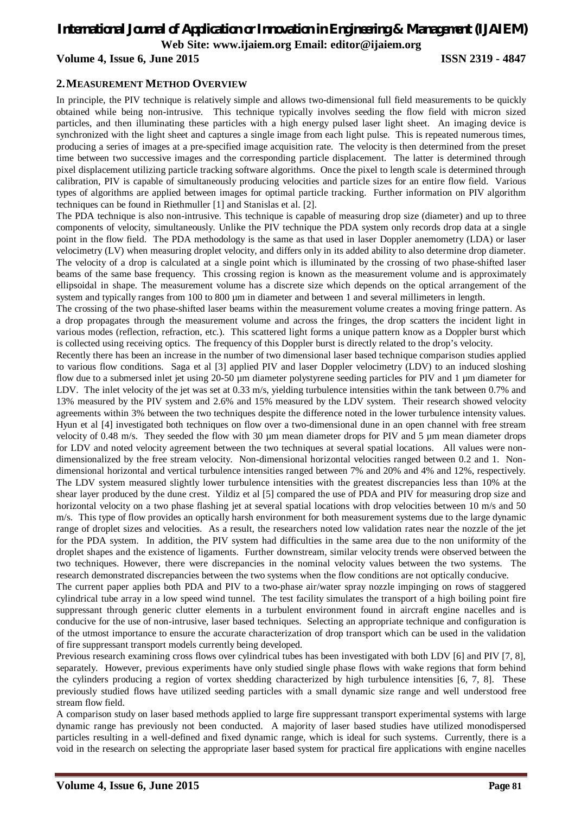## **Volume 4, Issue 6, June 2015 ISSN 2319 - 4847**

## **2.MEASUREMENT METHOD OVERVIEW**

In principle, the PIV technique is relatively simple and allows two-dimensional full field measurements to be quickly obtained while being non-intrusive. This technique typically involves seeding the flow field with micron sized particles, and then illuminating these particles with a high energy pulsed laser light sheet. An imaging device is synchronized with the light sheet and captures a single image from each light pulse. This is repeated numerous times, producing a series of images at a pre-specified image acquisition rate. The velocity is then determined from the preset time between two successive images and the corresponding particle displacement. The latter is determined through pixel displacement utilizing particle tracking software algorithms. Once the pixel to length scale is determined through calibration, PIV is capable of simultaneously producing velocities and particle sizes for an entire flow field. Various types of algorithms are applied between images for optimal particle tracking. Further information on PIV algorithm techniques can be found in Riethmuller [1] and Stanislas et al. [2].

The PDA technique is also non-intrusive. This technique is capable of measuring drop size (diameter) and up to three components of velocity, simultaneously. Unlike the PIV technique the PDA system only records drop data at a single point in the flow field. The PDA methodology is the same as that used in laser Doppler anemometry (LDA) or laser velocimetry (LV) when measuring droplet velocity, and differs only in its added ability to also determine drop diameter. The velocity of a drop is calculated at a single point which is illuminated by the crossing of two phase-shifted laser beams of the same base frequency. This crossing region is known as the measurement volume and is approximately ellipsoidal in shape. The measurement volume has a discrete size which depends on the optical arrangement of the system and typically ranges from 100 to 800 µm in diameter and between 1 and several millimeters in length.

The crossing of the two phase-shifted laser beams within the measurement volume creates a moving fringe pattern. As a drop propagates through the measurement volume and across the fringes, the drop scatters the incident light in various modes (reflection, refraction, etc.). This scattered light forms a unique pattern know as a Doppler burst which is collected using receiving optics. The frequency of this Doppler burst is directly related to the drop's velocity.

Recently there has been an increase in the number of two dimensional laser based technique comparison studies applied to various flow conditions. Saga et al [3] applied PIV and laser Doppler velocimetry (LDV) to an induced sloshing flow due to a submersed inlet jet using 20-50 µm diameter polystyrene seeding particles for PIV and 1 µm diameter for LDV. The inlet velocity of the jet was set at 0.33 m/s, yielding turbulence intensities within the tank between 0.7% and 13% measured by the PIV system and 2.6% and 15% measured by the LDV system. Their research showed velocity agreements within 3% between the two techniques despite the difference noted in the lower turbulence intensity values. Hyun et al [4] investigated both techniques on flow over a two-dimensional dune in an open channel with free stream velocity of 0.48 m/s. They seeded the flow with 30  $\mu$ m mean diameter drops for PIV and 5  $\mu$ m mean diameter drops for LDV and noted velocity agreement between the two techniques at several spatial locations. All values were nondimensionalized by the free stream velocity. Non-dimensional horizontal velocities ranged between 0.2 and 1. Nondimensional horizontal and vertical turbulence intensities ranged between 7% and 20% and 4% and 12%, respectively. The LDV system measured slightly lower turbulence intensities with the greatest discrepancies less than 10% at the shear layer produced by the dune crest. Yildiz et al [5] compared the use of PDA and PIV for measuring drop size and horizontal velocity on a two phase flashing jet at several spatial locations with drop velocities between 10 m/s and 50 m/s. This type of flow provides an optically harsh environment for both measurement systems due to the large dynamic range of droplet sizes and velocities. As a result, the researchers noted low validation rates near the nozzle of the jet for the PDA system. In addition, the PIV system had difficulties in the same area due to the non uniformity of the droplet shapes and the existence of ligaments. Further downstream, similar velocity trends were observed between the two techniques. However, there were discrepancies in the nominal velocity values between the two systems. The research demonstrated discrepancies between the two systems when the flow conditions are not optically conducive.

The current paper applies both PDA and PIV to a two-phase air/water spray nozzle impinging on rows of staggered cylindrical tube array in a low speed wind tunnel. The test facility simulates the transport of a high boiling point fire suppressant through generic clutter elements in a turbulent environment found in aircraft engine nacelles and is conducive for the use of non-intrusive, laser based techniques. Selecting an appropriate technique and configuration is of the utmost importance to ensure the accurate characterization of drop transport which can be used in the validation of fire suppressant transport models currently being developed.

Previous research examining cross flows over cylindrical tubes has been investigated with both LDV [6] and PIV [7, 8], separately. However, previous experiments have only studied single phase flows with wake regions that form behind the cylinders producing a region of vortex shedding characterized by high turbulence intensities [6, 7, 8]. These previously studied flows have utilized seeding particles with a small dynamic size range and well understood free stream flow field.

A comparison study on laser based methods applied to large fire suppressant transport experimental systems with large dynamic range has previously not been conducted. A majority of laser based studies have utilized monodispersed particles resulting in a well-defined and fixed dynamic range, which is ideal for such systems. Currently, there is a void in the research on selecting the appropriate laser based system for practical fire applications with engine nacelles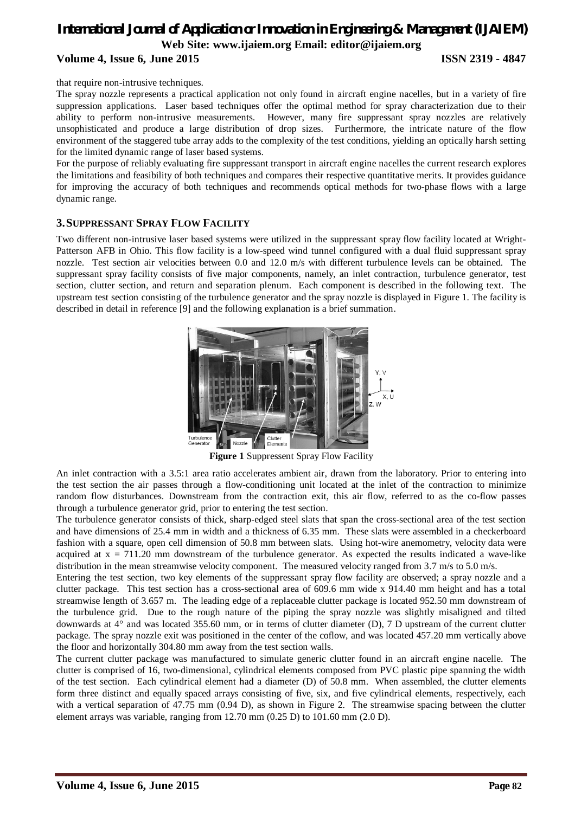that require non-intrusive techniques.

The spray nozzle represents a practical application not only found in aircraft engine nacelles, but in a variety of fire suppression applications. Laser based techniques offer the optimal method for spray characterization due to their ability to perform non-intrusive measurements. However, many fire suppressant spray nozzles are relatively unsophisticated and produce a large distribution of drop sizes. Furthermore, the intricate nature of the flow environment of the staggered tube array adds to the complexity of the test conditions, yielding an optically harsh setting for the limited dynamic range of laser based systems.

For the purpose of reliably evaluating fire suppressant transport in aircraft engine nacelles the current research explores the limitations and feasibility of both techniques and compares their respective quantitative merits. It provides guidance for improving the accuracy of both techniques and recommends optical methods for two-phase flows with a large dynamic range.

## **3.SUPPRESSANT SPRAY FLOW FACILITY**

Two different non-intrusive laser based systems were utilized in the suppressant spray flow facility located at Wright-Patterson AFB in Ohio. This flow facility is a low-speed wind tunnel configured with a dual fluid suppressant spray nozzle. Test section air velocities between 0.0 and 12.0 m/s with different turbulence levels can be obtained. The suppressant spray facility consists of five major components, namely, an inlet contraction, turbulence generator, test section, clutter section, and return and separation plenum. Each component is described in the following text. The upstream test section consisting of the turbulence generator and the spray nozzle is displayed in Figure 1. The facility is described in detail in reference [9] and the following explanation is a brief summation.



**Figure 1** Suppressent Spray Flow Facility

An inlet contraction with a 3.5:1 area ratio accelerates ambient air, drawn from the laboratory. Prior to entering into the test section the air passes through a flow-conditioning unit located at the inlet of the contraction to minimize random flow disturbances. Downstream from the contraction exit, this air flow, referred to as the co-flow passes through a turbulence generator grid, prior to entering the test section.

The turbulence generator consists of thick, sharp-edged steel slats that span the cross-sectional area of the test section and have dimensions of 25.4 mm in width and a thickness of 6.35 mm. These slats were assembled in a checkerboard fashion with a square, open cell dimension of 50.8 mm between slats. Using hot-wire anemometry, velocity data were acquired at  $x = 711.20$  mm downstream of the turbulence generator. As expected the results indicated a wave-like distribution in the mean streamwise velocity component. The measured velocity ranged from 3.7 m/s to 5.0 m/s.

Entering the test section, two key elements of the suppressant spray flow facility are observed; a spray nozzle and a clutter package. This test section has a cross-sectional area of 609.6 mm wide x 914.40 mm height and has a total streamwise length of 3.657 m. The leading edge of a replaceable clutter package is located 952.50 mm downstream of the turbulence grid. Due to the rough nature of the piping the spray nozzle was slightly misaligned and tilted downwards at 4° and was located 355.60 mm, or in terms of clutter diameter (D), 7 D upstream of the current clutter package. The spray nozzle exit was positioned in the center of the coflow, and was located 457.20 mm vertically above the floor and horizontally 304.80 mm away from the test section walls.

The current clutter package was manufactured to simulate generic clutter found in an aircraft engine nacelle. The clutter is comprised of 16, two-dimensional, cylindrical elements composed from PVC plastic pipe spanning the width of the test section. Each cylindrical element had a diameter (D) of 50.8 mm. When assembled, the clutter elements form three distinct and equally spaced arrays consisting of five, six, and five cylindrical elements, respectively, each with a vertical separation of 47.75 mm (0.94 D), as shown in Figure 2. The streamwise spacing between the clutter element arrays was variable, ranging from 12.70 mm (0.25 D) to 101.60 mm (2.0 D).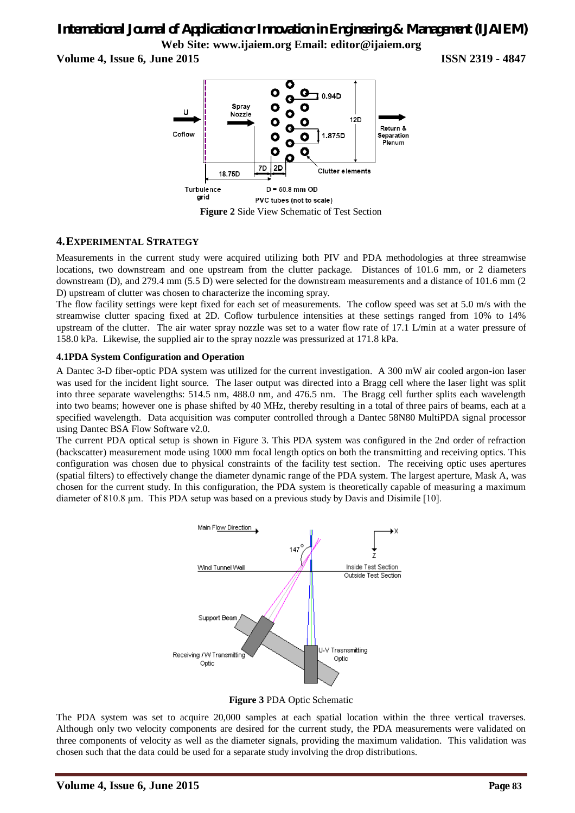**Volume 4, Issue 6, June 2015 ISSN 2319 - 4847**



## **4.EXPERIMENTAL STRATEGY**

Measurements in the current study were acquired utilizing both PIV and PDA methodologies at three streamwise locations, two downstream and one upstream from the clutter package. Distances of 101.6 mm, or 2 diameters downstream (D), and 279.4 mm (5.5 D) were selected for the downstream measurements and a distance of 101.6 mm (2 D) upstream of clutter was chosen to characterize the incoming spray.

The flow facility settings were kept fixed for each set of measurements. The coflow speed was set at 5.0 m/s with the streamwise clutter spacing fixed at 2D. Coflow turbulence intensities at these settings ranged from 10% to 14% upstream of the clutter. The air water spray nozzle was set to a water flow rate of 17.1 L/min at a water pressure of 158.0 kPa. Likewise, the supplied air to the spray nozzle was pressurized at 171.8 kPa.

## **4.1PDA System Configuration and Operation**

A Dantec 3-D fiber-optic PDA system was utilized for the current investigation. A 300 mW air cooled argon-ion laser was used for the incident light source. The laser output was directed into a Bragg cell where the laser light was split into three separate wavelengths: 514.5 nm, 488.0 nm, and 476.5 nm. The Bragg cell further splits each wavelength into two beams; however one is phase shifted by 40 MHz, thereby resulting in a total of three pairs of beams, each at a specified wavelength. Data acquisition was computer controlled through a Dantec 58N80 MultiPDA signal processor using Dantec BSA Flow Software v2.0.

The current PDA optical setup is shown in Figure 3. This PDA system was configured in the 2nd order of refraction (backscatter) measurement mode using 1000 mm focal length optics on both the transmitting and receiving optics. This configuration was chosen due to physical constraints of the facility test section. The receiving optic uses apertures (spatial filters) to effectively change the diameter dynamic range of the PDA system. The largest aperture, Mask A, was chosen for the current study. In this configuration, the PDA system is theoretically capable of measuring a maximum diameter of 810.8 μm. This PDA setup was based on a previous study by Davis and Disimile [10].



**Figure 3** PDA Optic Schematic

The PDA system was set to acquire 20,000 samples at each spatial location within the three vertical traverses. Although only two velocity components are desired for the current study, the PDA measurements were validated on three components of velocity as well as the diameter signals, providing the maximum validation. This validation was chosen such that the data could be used for a separate study involving the drop distributions.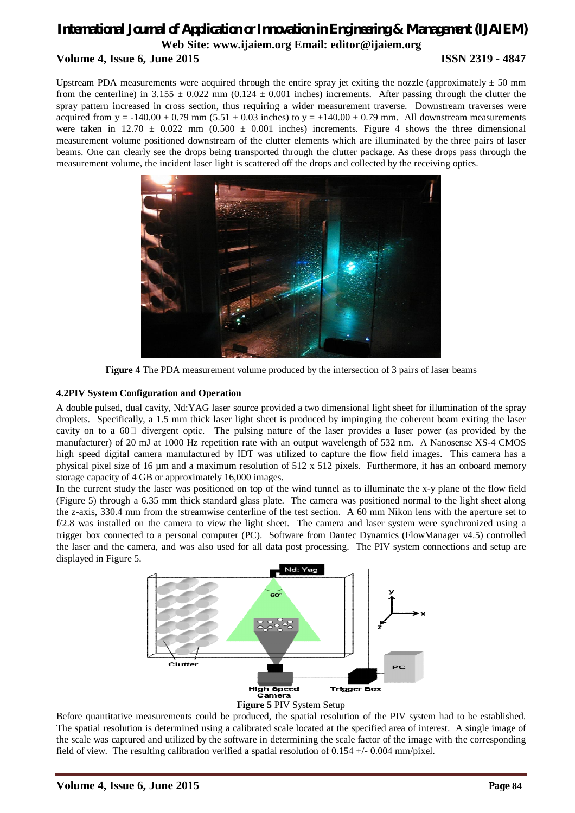Upstream PDA measurements were acquired through the entire spray jet exiting the nozzle (approximately  $\pm$  50 mm from the centerline) in 3.155  $\pm$  0.022 mm (0.124  $\pm$  0.001 inches) increments. After passing through the clutter the spray pattern increased in cross section, thus requiring a wider measurement traverse. Downstream traverses were acquired from  $y = -140.00 \pm 0.79$  mm (5.51  $\pm$  0.03 inches) to  $y = +140.00 \pm 0.79$  mm. All downstream measurements were taken in 12.70  $\pm$  0.022 mm (0.500  $\pm$  0.001 inches) increments. Figure 4 shows the three dimensional measurement volume positioned downstream of the clutter elements which are illuminated by the three pairs of laser beams. One can clearly see the drops being transported through the clutter package. As these drops pass through the measurement volume, the incident laser light is scattered off the drops and collected by the receiving optics.



**Figure 4** The PDA measurement volume produced by the intersection of 3 pairs of laser beams

## **4.2PIV System Configuration and Operation**

A double pulsed, dual cavity, Nd:YAG laser source provided a two dimensional light sheet for illumination of the spray droplets. Specifically, a 1.5 mm thick laser light sheet is produced by impinging the coherent beam exiting the laser cavity on to a  $60\degree$  divergent optic. The pulsing nature of the laser provides a laser power (as provided by the manufacturer) of 20 mJ at 1000 Hz repetition rate with an output wavelength of 532 nm. A Nanosense XS-4 CMOS high speed digital camera manufactured by IDT was utilized to capture the flow field images. This camera has a physical pixel size of 16 µm and a maximum resolution of 512 x 512 pixels. Furthermore, it has an onboard memory storage capacity of 4 GB or approximately 16,000 images.

In the current study the laser was positioned on top of the wind tunnel as to illuminate the x-y plane of the flow field (Figure 5) through a 6.35 mm thick standard glass plate. The camera was positioned normal to the light sheet along the z-axis, 330.4 mm from the streamwise centerline of the test section. A 60 mm Nikon lens with the aperture set to f/2.8 was installed on the camera to view the light sheet. The camera and laser system were synchronized using a trigger box connected to a personal computer (PC). Software from Dantec Dynamics (FlowManager v4.5) controlled the laser and the camera, and was also used for all data post processing. The PIV system connections and setup are displayed in Figure 5.





Before quantitative measurements could be produced, the spatial resolution of the PIV system had to be established. The spatial resolution is determined using a calibrated scale located at the specified area of interest. A single image of the scale was captured and utilized by the software in determining the scale factor of the image with the corresponding field of view. The resulting calibration verified a spatial resolution of 0.154 +/- 0.004 mm/pixel.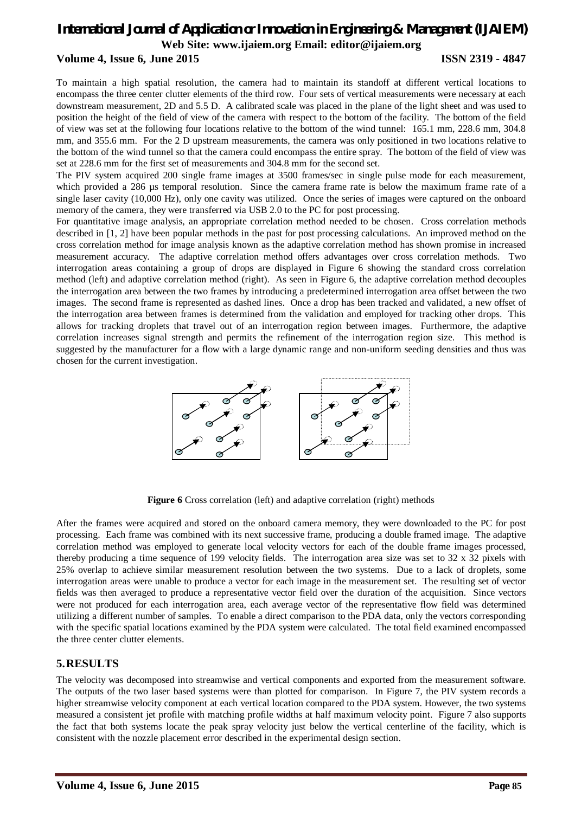## **Volume 4, Issue 6, June 2015 ISSN 2319 - 4847**

To maintain a high spatial resolution, the camera had to maintain its standoff at different vertical locations to encompass the three center clutter elements of the third row. Four sets of vertical measurements were necessary at each downstream measurement, 2D and 5.5 D. A calibrated scale was placed in the plane of the light sheet and was used to position the height of the field of view of the camera with respect to the bottom of the facility. The bottom of the field of view was set at the following four locations relative to the bottom of the wind tunnel: 165.1 mm, 228.6 mm, 304.8 mm, and 355.6 mm. For the 2 D upstream measurements, the camera was only positioned in two locations relative to the bottom of the wind tunnel so that the camera could encompass the entire spray. The bottom of the field of view was set at 228.6 mm for the first set of measurements and 304.8 mm for the second set.

The PIV system acquired 200 single frame images at 3500 frames/sec in single pulse mode for each measurement, which provided a 286 µs temporal resolution. Since the camera frame rate is below the maximum frame rate of a single laser cavity (10,000 Hz), only one cavity was utilized. Once the series of images were captured on the onboard memory of the camera, they were transferred via USB 2.0 to the PC for post processing.

For quantitative image analysis, an appropriate correlation method needed to be chosen. Cross correlation methods described in [1, 2] have been popular methods in the past for post processing calculations. An improved method on the cross correlation method for image analysis known as the adaptive correlation method has shown promise in increased measurement accuracy. The adaptive correlation method offers advantages over cross correlation methods. Two interrogation areas containing a group of drops are displayed in Figure 6 showing the standard cross correlation method (left) and adaptive correlation method (right). As seen in Figure 6, the adaptive correlation method decouples the interrogation area between the two frames by introducing a predetermined interrogation area offset between the two images. The second frame is represented as dashed lines. Once a drop has been tracked and validated, a new offset of the interrogation area between frames is determined from the validation and employed for tracking other drops. This allows for tracking droplets that travel out of an interrogation region between images. Furthermore, the adaptive correlation increases signal strength and permits the refinement of the interrogation region size. This method is suggested by the manufacturer for a flow with a large dynamic range and non-uniform seeding densities and thus was chosen for the current investigation.



**Figure 6** Cross correlation (left) and adaptive correlation (right) methods

After the frames were acquired and stored on the onboard camera memory, they were downloaded to the PC for post processing. Each frame was combined with its next successive frame, producing a double framed image. The adaptive correlation method was employed to generate local velocity vectors for each of the double frame images processed, thereby producing a time sequence of 199 velocity fields. The interrogation area size was set to  $32 \times 32$  pixels with 25% overlap to achieve similar measurement resolution between the two systems. Due to a lack of droplets, some interrogation areas were unable to produce a vector for each image in the measurement set. The resulting set of vector fields was then averaged to produce a representative vector field over the duration of the acquisition. Since vectors were not produced for each interrogation area, each average vector of the representative flow field was determined utilizing a different number of samples. To enable a direct comparison to the PDA data, only the vectors corresponding with the specific spatial locations examined by the PDA system were calculated. The total field examined encompassed the three center clutter elements.

## **5.RESULTS**

The velocity was decomposed into streamwise and vertical components and exported from the measurement software. The outputs of the two laser based systems were than plotted for comparison. In Figure 7, the PIV system records a higher streamwise velocity component at each vertical location compared to the PDA system. However, the two systems measured a consistent jet profile with matching profile widths at half maximum velocity point. Figure 7 also supports the fact that both systems locate the peak spray velocity just below the vertical centerline of the facility, which is consistent with the nozzle placement error described in the experimental design section.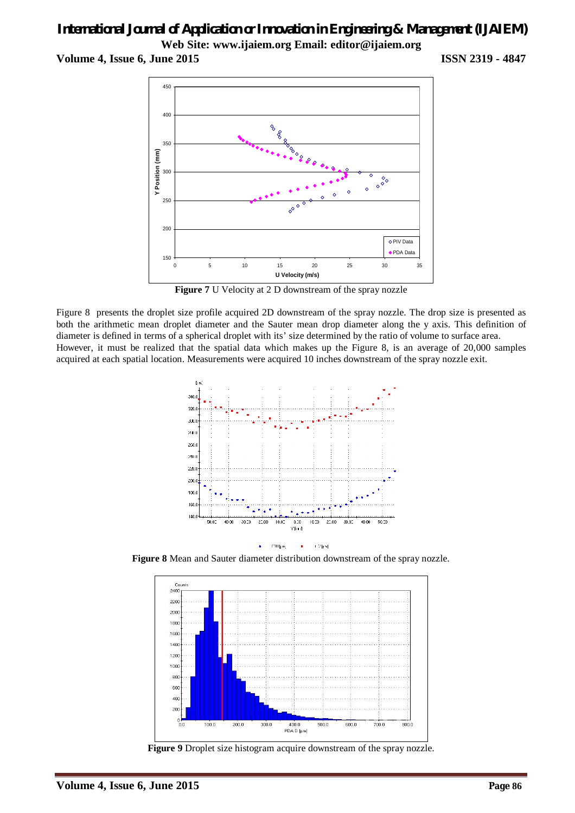**Volume 4, Issue 6, June 2015 ISSN 2319 - 4847**



**Figure 7** U Velocity at 2 D downstream of the spray nozzle

Figure 8 presents the droplet size profile acquired 2D downstream of the spray nozzle. The drop size is presented as both the arithmetic mean droplet diameter and the Sauter mean drop diameter along the y axis. This definition of diameter is defined in terms of a spherical droplet with its' size determined by the ratio of volume to surface area. However, it must be realized that the spatial data which makes up the Figure 8, is an average of 20,000 samples acquired at each spatial location. Measurements were acquired 10 inches downstream of the spray nozzle exit.



**Figure 8** Mean and Sauter diameter distribution downstream of the spray nozzle.



**Figure 9** Droplet size histogram acquire downstream of the spray nozzle.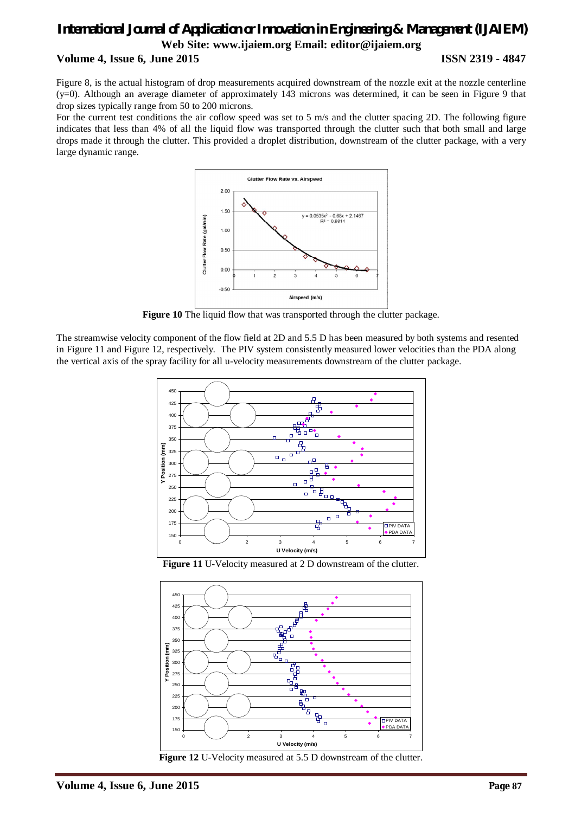Figure 8, is the actual histogram of drop measurements acquired downstream of the nozzle exit at the nozzle centerline (y=0). Although an average diameter of approximately 143 microns was determined, it can be seen in Figure 9 that drop sizes typically range from 50 to 200 microns.

For the current test conditions the air coflow speed was set to 5 m/s and the clutter spacing 2D. The following figure indicates that less than 4% of all the liquid flow was transported through the clutter such that both small and large drops made it through the clutter. This provided a droplet distribution, downstream of the clutter package, with a very large dynamic range.



**Figure 10** The liquid flow that was transported through the clutter package.

The streamwise velocity component of the flow field at 2D and 5.5 D has been measured by both systems and resented in Figure 11 and Figure 12, respectively. The PIV system consistently measured lower velocities than the PDA along the vertical axis of the spray facility for all u-velocity measurements downstream of the clutter package.



**Figure 11** U-Velocity measured at 2 D downstream of the clutter.



**Figure 12** U-Velocity measured at 5.5 D downstream of the clutter.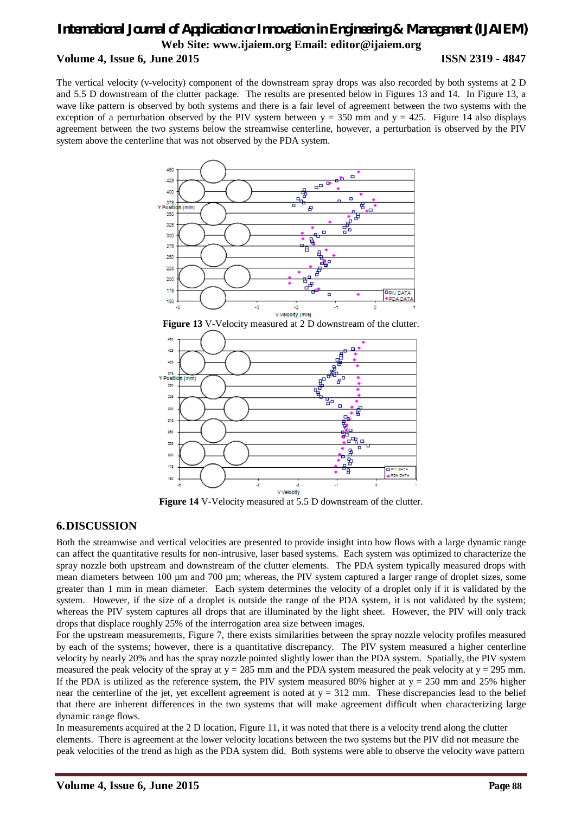The vertical velocity (v-velocity) component of the downstream spray drops was also recorded by both systems at 2 D and 5.5 D downstream of the clutter package. The results are presented below in Figures 13 and 14. In Figure 13, a wave like pattern is observed by both systems and there is a fair level of agreement between the two systems with the exception of a perturbation observed by the PIV system between  $y = 350$  mm and  $y = 425$ . Figure 14 also displays agreement between the two systems below the streamwise centerline, however, a perturbation is observed by the PIV system above the centerline that was not observed by the PDA system.



**Figure 13** V-Velocity measured at 2 D downstream of the clutter.



**Figure 14** V-Velocity measured at 5.5 D downstream of the clutter.

## **6.DISCUSSION**

Both the streamwise and vertical velocities are presented to provide insight into how flows with a large dynamic range can affect the quantitative results for non-intrusive, laser based systems. Each system was optimized to characterize the spray nozzle both upstream and downstream of the clutter elements. The PDA system typically measured drops with mean diameters between 100 µm and 700 µm; whereas, the PIV system captured a larger range of droplet sizes, some greater than 1 mm in mean diameter. Each system determines the velocity of a droplet only if it is validated by the system. However, if the size of a droplet is outside the range of the PDA system, it is not validated by the system; whereas the PIV system captures all drops that are illuminated by the light sheet. However, the PIV will only track drops that displace roughly 25% of the interrogation area size between images.

For the upstream measurements, Figure 7, there exists similarities between the spray nozzle velocity profiles measured by each of the systems; however, there is a quantitative discrepancy. The PIV system measured a higher centerline velocity by nearly 20% and has the spray nozzle pointed slightly lower than the PDA system. Spatially, the PIV system measured the peak velocity of the spray at  $y = 285$  mm and the PDA system measured the peak velocity at  $y = 295$  mm. If the PDA is utilized as the reference system, the PIV system measured 80% higher at  $y = 250$  mm and 25% higher near the centerline of the jet, yet excellent agreement is noted at  $y = 312$  mm. These discrepancies lead to the belief that there are inherent differences in the two systems that will make agreement difficult when characterizing large dynamic range flows.

In measurements acquired at the 2 D location, Figure 11, it was noted that there is a velocity trend along the clutter elements. There is agreement at the lower velocity locations between the two systems but the PIV did not measure the peak velocities of the trend as high as the PDA system did. Both systems were able to observe the velocity wave pattern